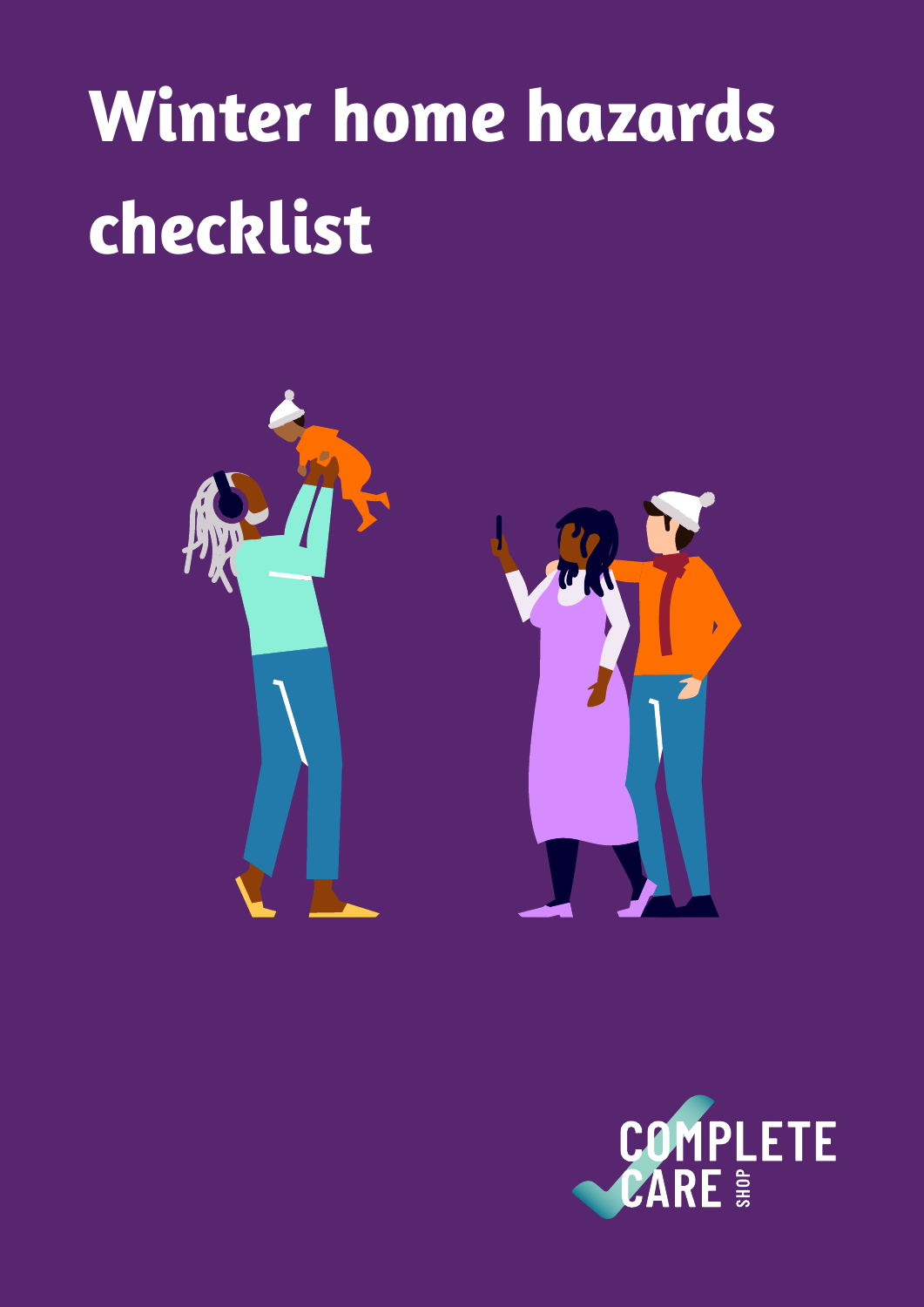# **Winter home hazards checklist**



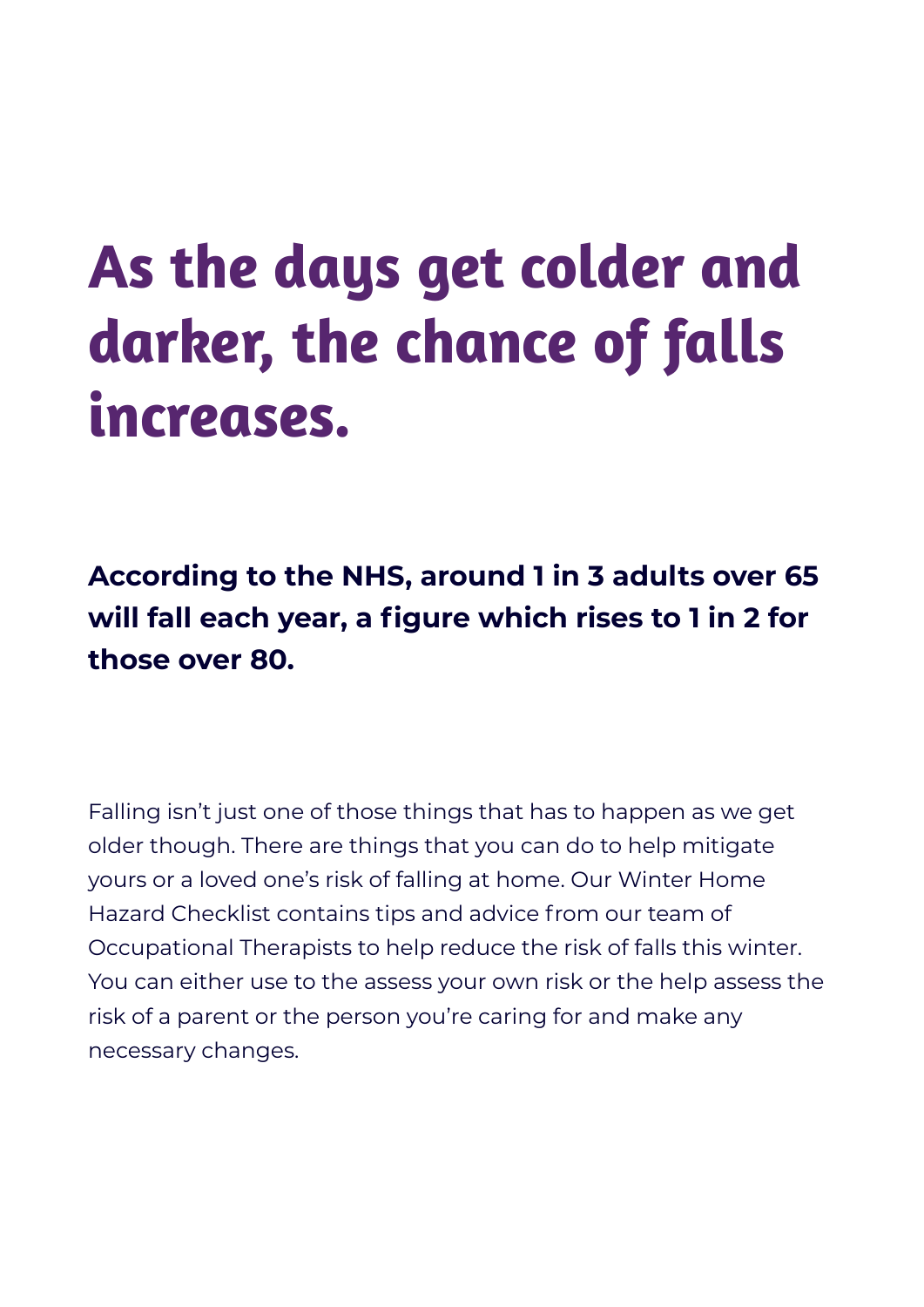**As the days get colder and darker, the chance of falls increases.** 

**According to the NHS, around 1 in 3 adults over 65 will fall each year, a figure which rises to 1 in 2 for those over 80.** 

Falling isn't just one of those things that has to happen as we get older though. There are things that you can do to help mitigate yours or a loved one's risk of falling at home. Our Winter Home Hazard Checklist contains tips and advice from our team of Occupational Therapists to help reduce the risk of falls this winter. You can either use to the assess your own risk or the help assess the risk of a parent or the person you're caring for and make any necessary changes.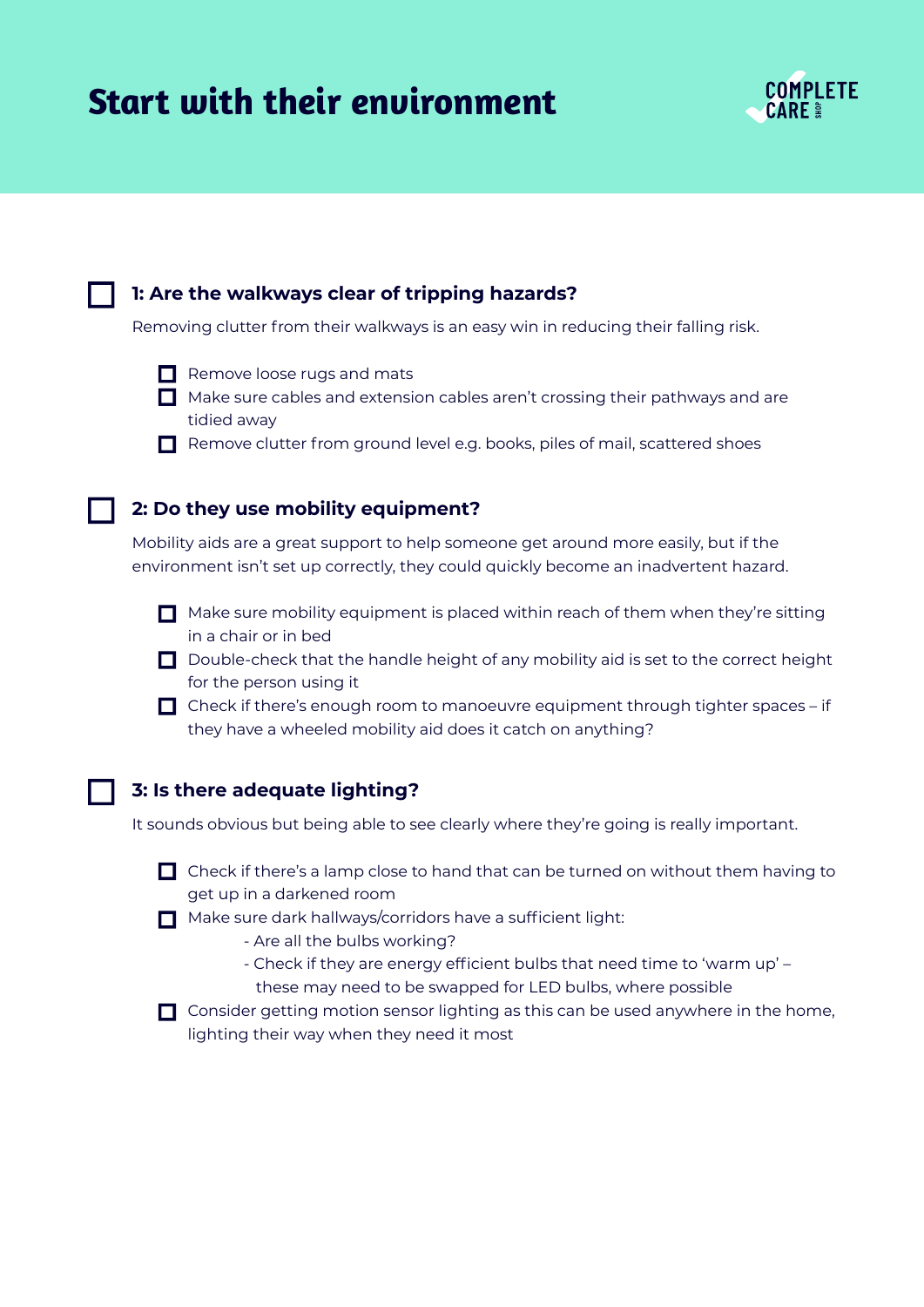## **Start with their environment**



#### **1: Are the walkways clear of tripping hazards?**

Removing clutter from their walkways is an easy win in reducing their falling risk.

- $\Box$  Remove loose rugs and mats
- $\Box$  Make sure cables and extension cables aren't crossing their pathways and are tidied away
- Remove clutter from ground level e.g. books, piles of mail, scattered shoes

#### **2: Do they use mobility equipment?**

Mobility aids are a great support to help someone get around more easily, but if the environment isn't set up correctly, they could quickly become an inadvertent hazard.

- $\Box$  Make sure mobility equipment is placed within reach of them when they're sitting in a chair or in bed
- $\Box$  Double-check that the handle height of any mobility aid is set to the correct height for the person using it
- $\Box$  Check if there's enough room to manoeuvre equipment through tighter spaces if they have a wheeled mobility aid does it catch on anything?

### **3: Is there adequate lighting?**

It sounds obvious but being able to see clearly where they're going is really important.

- $\Box$  Check if there's a lamp close to hand that can be turned on without them having to get up in a darkened room
- $\Box$  Make sure dark hallways/corridors have a sufficient light:
	- Are all the bulbs working?
	- Check if they are energy efficient bulbs that need time to 'warm up' these may need to be swapped for LED bulbs, where possible

 $\Box$  Consider getting motion sensor lighting as this can be used anywhere in the home, lighting their way when they need it most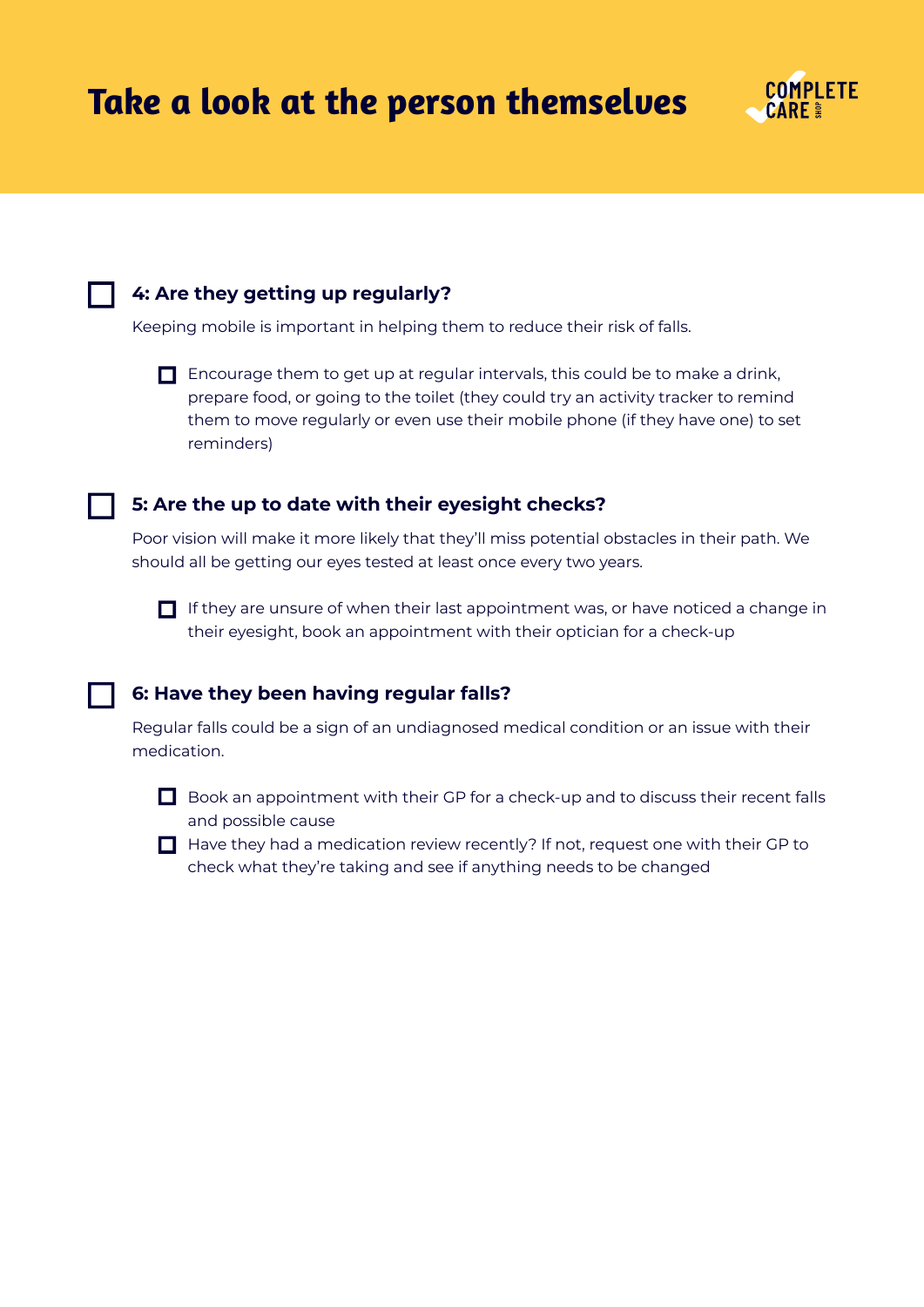

#### **4: Are they getting up regularly?**

Keeping mobile is important in helping them to reduce their risk of falls.



 $\Box$  Encourage them to get up at regular intervals, this could be to make a drink, prepare food, or going to the toilet (they could try an activity tracker to remind them to move regularly or even use their mobile phone (if they have one) to set reminders)

#### **5: Are the up to date with their eyesight checks?**

Poor vision will make it more likely that they'll miss potential obstacles in their path. We should all be getting our eyes tested at least once every two years.



#### **6: Have they been having regular falls?**

Regular falls could be a sign of an undiagnosed medical condition or an issue with their medication.



 $\Box$  Book an appointment with their GP for a check-up and to discuss their recent falls and possible cause

 $\Box$  Have they had a medication review recently? If not, request one with their GP to check what they're taking and see if anything needs to be changed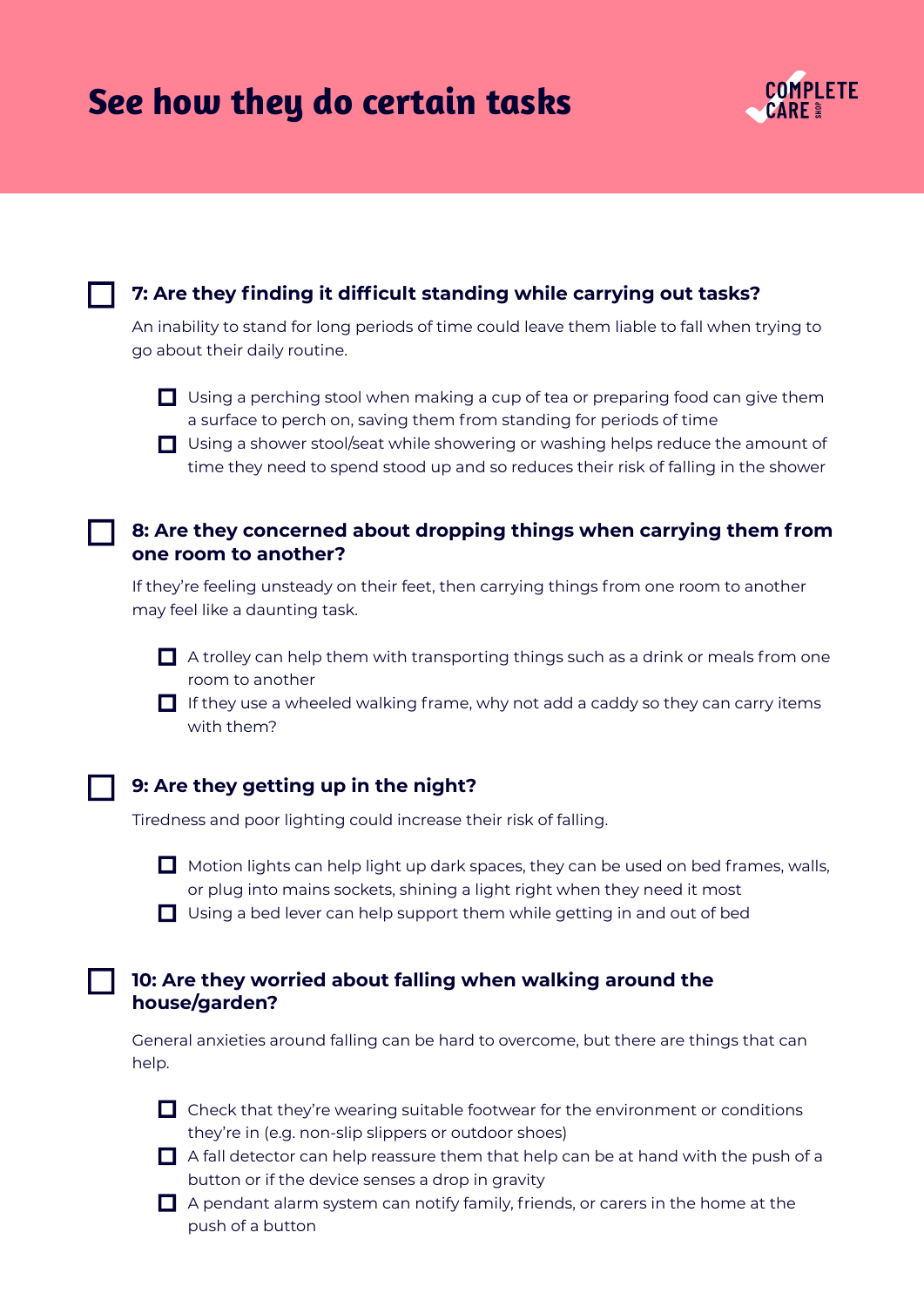|  | See how they do certain tasks |  |
|--|-------------------------------|--|
|  |                               |  |



#### **7: Are they finding it difficult standing while carrying out tasks?**

An inability to stand for long periods of time could leave them liable to fall when trying to go about their daily routine.



■ Using a shower stool/seat while showering or washing helps reduce the amount of time they need to spend stood up and so reduces their risk of falling in the shower

#### **8: Are they concerned about dropping things when carrying them from one room to another?**

If they're feeling unsteady on their feet, then carrying things from one room to another may feel like a daunting task.

 $\Box$  A trolley can help them with transporting things such as a drink or meals from one room to another

 $\Box$  If they use a wheeled walking frame, why not add a caddy so they can carry items with them?

#### **9: Are they getting up in the night?**

Tiredness and poor lighting could increase their risk of falling.



 $\Box$  Motion lights can help light up dark spaces, they can be used on bed frames, walls, or plug into mains sockets, shining a light right when they need it most

 $\Box$  Using a bed lever can help support them while getting in and out of bed

#### **10: Are they worried about falling when walking around the house/garden?**

General anxieties around falling can be hard to overcome, but there are things that can help.

 $\Box$  Check that they're wearing suitable footwear for the environment or conditions they're in (e.g. non-slip slippers or outdoor shoes)

 $\Box$  A fall detector can help reassure them that help can be at hand with the push of a button or if the device senses a drop in gravity

 $\Box$  A pendant alarm system can notify family, friends, or carers in the home at the push of a button